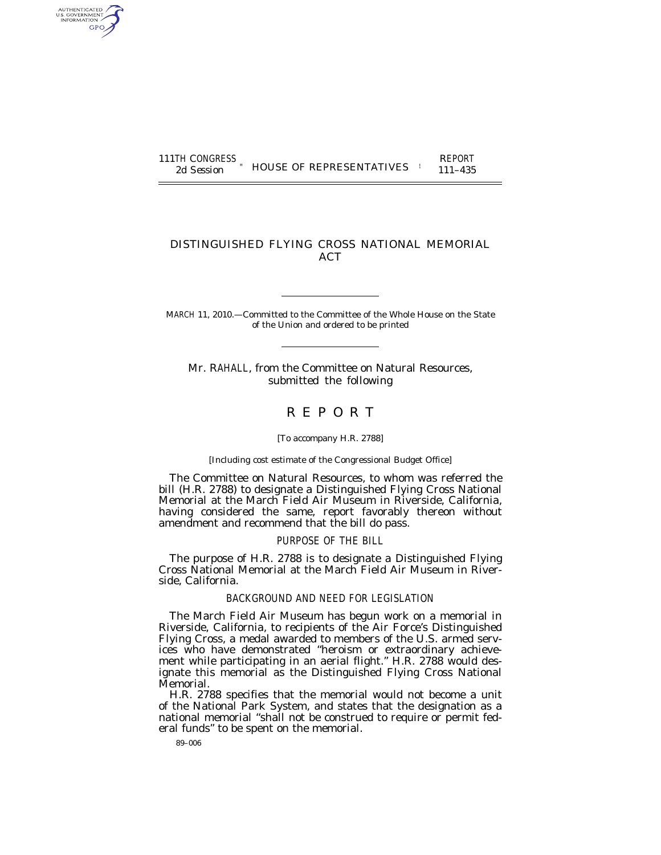| 111TH CONGRESS | <b>HOUSE OF REPRESENTATIVES</b> | <b>REPORT</b> |
|----------------|---------------------------------|---------------|
| 2d Session     |                                 | $111 - 435$   |

## DISTINGUISHED FLYING CROSS NATIONAL MEMORIAL **ACT**

MARCH 11, 2010.—Committed to the Committee of the Whole House on the State of the Union and ordered to be printed

Mr. RAHALL, from the Committee on Natural Resources, submitted the following

# R E P O R T

## [To accompany H.R. 2788]

#### [Including cost estimate of the Congressional Budget Office]

The Committee on Natural Resources, to whom was referred the bill (H.R. 2788) to designate a Distinguished Flying Cross National Memorial at the March Field Air Museum in Riverside, California, having considered the same, report favorably thereon without amendment and recommend that the bill do pass.

## PURPOSE OF THE BILL

The purpose of H.R. 2788 is to designate a Distinguished Flying Cross National Memorial at the March Field Air Museum in Riverside, California.

## BACKGROUND AND NEED FOR LEGISLATION

The March Field Air Museum has begun work on a memorial in Riverside, California, to recipients of the Air Force's Distinguished Flying Cross, a medal awarded to members of the U.S. armed services who have demonstrated ''heroism or extraordinary achievement while participating in an aerial flight.'' H.R. 2788 would designate this memorial as the Distinguished Flying Cross National Memorial.

H.R. 2788 specifies that the memorial would not become a unit of the National Park System, and states that the designation as a national memorial ''shall not be construed to require or permit federal funds'' to be spent on the memorial.

89–006

AUTHENTICATED<br>U.S. GOVERNMENT<br>INFORMATION GPO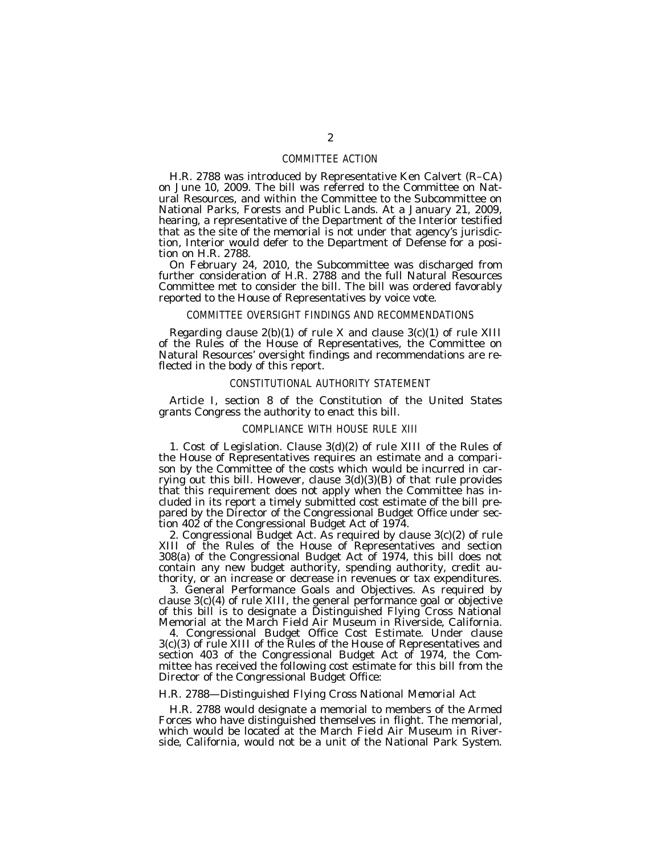## COMMITTEE ACTION

H.R. 2788 was introduced by Representative Ken Calvert (R–CA) on June 10, 2009. The bill was referred to the Committee on Natural Resources, and within the Committee to the Subcommittee on National Parks, Forests and Public Lands. At a January 21, 2009, hearing, a representative of the Department of the Interior testified that as the site of the memorial is not under that agency's jurisdiction, Interior would defer to the Department of Defense for a position on H.R. 2788.

On February 24, 2010, the Subcommittee was discharged from further consideration of H.R. 2788 and the full Natural Resources Committee met to consider the bill. The bill was ordered favorably reported to the House of Representatives by voice vote.

### COMMITTEE OVERSIGHT FINDINGS AND RECOMMENDATIONS

Regarding clause  $2(b)(1)$  of rule X and clause  $3(c)(1)$  of rule XIII of the Rules of the House of Representatives, the Committee on Natural Resources' oversight findings and recommendations are reflected in the body of this report.

## CONSTITUTIONAL AUTHORITY STATEMENT

Article I, section 8 of the Constitution of the United States grants Congress the authority to enact this bill.

### COMPLIANCE WITH HOUSE RULE XIII

1. Cost of Legislation. Clause 3(d)(2) of rule XIII of the Rules of the House of Representatives requires an estimate and a comparison by the Committee of the costs which would be incurred in carrying out this bill. However, clause  $3(d)(3)(B)$  of that rule provides that this requirement does not apply when the Committee has included in its report a timely submitted cost estimate of the bill prepared by the Director of the Congressional Budget Office under section 402 of the Congressional Budget Act of 1974.

2. Congressional Budget Act. As required by clause 3(c)(2) of rule XIII of the Rules of the House of Representatives and section 308(a) of the Congressional Budget Act of 1974, this bill does not contain any new budget authority, spending authority, credit authority, or an increase or decrease in revenues or tax expenditures.

3. General Performance Goals and Objectives. As required by clause 3(c)(4) of rule XIII, the general performance goal or objective of this bill is to designate a Distinguished Flying Cross National Memorial at the March Field Air Museum in Riverside, California.

4. Congressional Budget Office Cost Estimate. Under clause 3(c)(3) of rule XIII of the Rules of the House of Representatives and section 403 of the Congressional Budget Act of 1974, the Committee has received the following cost estimate for this bill from the Director of the Congressional Budget Office:

## *H.R. 2788—Distinguished Flying Cross National Memorial Act*

H.R. 2788 would designate a memorial to members of the Armed Forces who have distinguished themselves in flight. The memorial, which would be located at the March Field Air Museum in Riverside, California, would not be a unit of the National Park System.